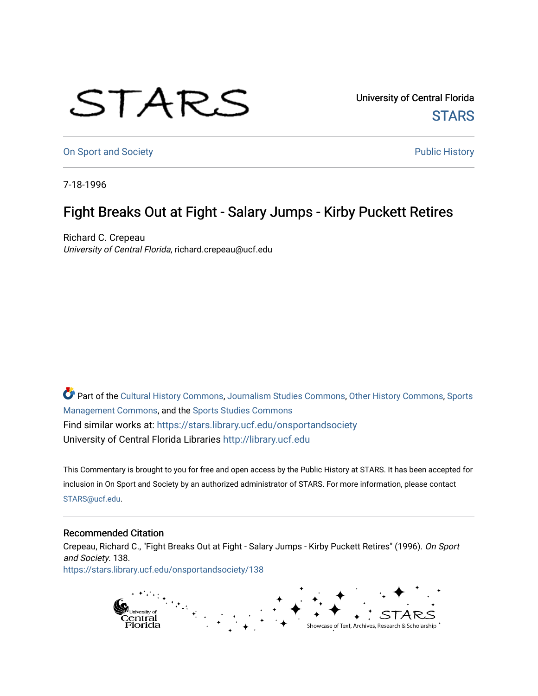## STARS

University of Central Florida **STARS** 

[On Sport and Society](https://stars.library.ucf.edu/onsportandsociety) **Public History** Public History

7-18-1996

## Fight Breaks Out at Fight - Salary Jumps - Kirby Puckett Retires

Richard C. Crepeau University of Central Florida, richard.crepeau@ucf.edu

Part of the [Cultural History Commons](http://network.bepress.com/hgg/discipline/496?utm_source=stars.library.ucf.edu%2Fonsportandsociety%2F138&utm_medium=PDF&utm_campaign=PDFCoverPages), [Journalism Studies Commons,](http://network.bepress.com/hgg/discipline/333?utm_source=stars.library.ucf.edu%2Fonsportandsociety%2F138&utm_medium=PDF&utm_campaign=PDFCoverPages) [Other History Commons,](http://network.bepress.com/hgg/discipline/508?utm_source=stars.library.ucf.edu%2Fonsportandsociety%2F138&utm_medium=PDF&utm_campaign=PDFCoverPages) [Sports](http://network.bepress.com/hgg/discipline/1193?utm_source=stars.library.ucf.edu%2Fonsportandsociety%2F138&utm_medium=PDF&utm_campaign=PDFCoverPages) [Management Commons](http://network.bepress.com/hgg/discipline/1193?utm_source=stars.library.ucf.edu%2Fonsportandsociety%2F138&utm_medium=PDF&utm_campaign=PDFCoverPages), and the [Sports Studies Commons](http://network.bepress.com/hgg/discipline/1198?utm_source=stars.library.ucf.edu%2Fonsportandsociety%2F138&utm_medium=PDF&utm_campaign=PDFCoverPages) Find similar works at: <https://stars.library.ucf.edu/onsportandsociety> University of Central Florida Libraries [http://library.ucf.edu](http://library.ucf.edu/) 

This Commentary is brought to you for free and open access by the Public History at STARS. It has been accepted for inclusion in On Sport and Society by an authorized administrator of STARS. For more information, please contact [STARS@ucf.edu](mailto:STARS@ucf.edu).

## Recommended Citation

Crepeau, Richard C., "Fight Breaks Out at Fight - Salary Jumps - Kirby Puckett Retires" (1996). On Sport and Society. 138. [https://stars.library.ucf.edu/onsportandsociety/138](https://stars.library.ucf.edu/onsportandsociety/138?utm_source=stars.library.ucf.edu%2Fonsportandsociety%2F138&utm_medium=PDF&utm_campaign=PDFCoverPages)

> ranasiya<br>Central<br>Florida Showcase of Text, Archives, Research & Scholarship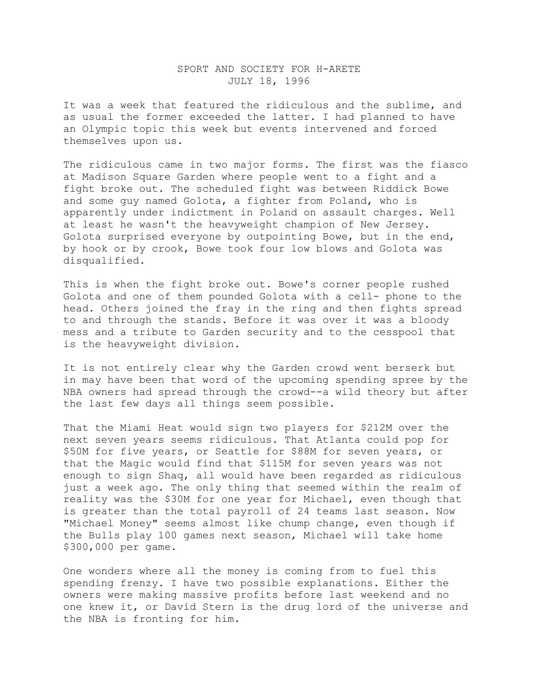## SPORT AND SOCIETY FOR H-ARETE JULY 18, 1996

It was a week that featured the ridiculous and the sublime, and as usual the former exceeded the latter. I had planned to have an Olympic topic this week but events intervened and forced themselves upon us.

The ridiculous came in two major forms. The first was the fiasco at Madison Square Garden where people went to a fight and a fight broke out. The scheduled fight was between Riddick Bowe and some guy named Golota, a fighter from Poland, who is apparently under indictment in Poland on assault charges. Well at least he wasn't the heavyweight champion of New Jersey. Golota surprised everyone by outpointing Bowe, but in the end, by hook or by crook, Bowe took four low blows and Golota was disqualified.

This is when the fight broke out. Bowe's corner people rushed Golota and one of them pounded Golota with a cell- phone to the head. Others joined the fray in the ring and then fights spread to and through the stands. Before it was over it was a bloody mess and a tribute to Garden security and to the cesspool that is the heavyweight division.

It is not entirely clear why the Garden crowd went berserk but in may have been that word of the upcoming spending spree by the NBA owners had spread through the crowd--a wild theory but after the last few days all things seem possible.

That the Miami Heat would sign two players for \$212M over the next seven years seems ridiculous. That Atlanta could pop for \$50M for five years, or Seattle for \$88M for seven years, or that the Magic would find that \$115M for seven years was not enough to sign Shaq, all would have been regarded as ridiculous just a week ago. The only thing that seemed within the realm of reality was the \$30M for one year for Michael, even though that is greater than the total payroll of 24 teams last season. Now "Michael Money" seems almost like chump change, even though if the Bulls play 100 games next season, Michael will take home \$300,000 per game.

One wonders where all the money is coming from to fuel this spending frenzy. I have two possible explanations. Either the owners were making massive profits before last weekend and no one knew it, or David Stern is the drug lord of the universe and the NBA is fronting for him.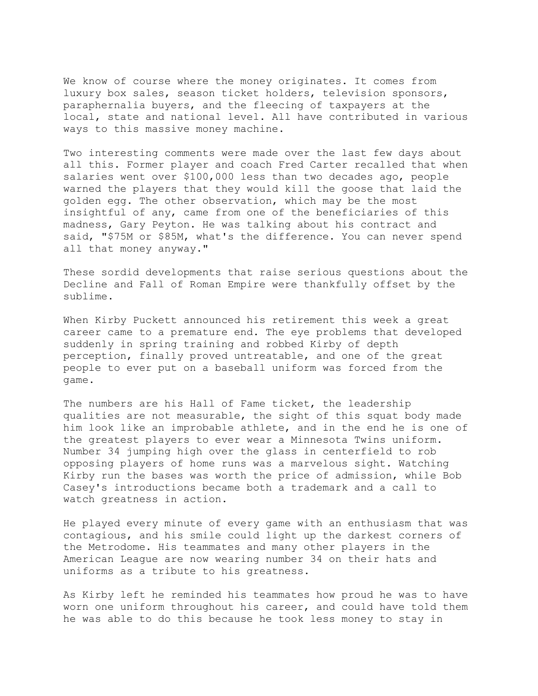We know of course where the money originates. It comes from luxury box sales, season ticket holders, television sponsors, paraphernalia buyers, and the fleecing of taxpayers at the local, state and national level. All have contributed in various ways to this massive money machine.

Two interesting comments were made over the last few days about all this. Former player and coach Fred Carter recalled that when salaries went over \$100,000 less than two decades ago, people warned the players that they would kill the goose that laid the golden egg. The other observation, which may be the most insightful of any, came from one of the beneficiaries of this madness, Gary Peyton. He was talking about his contract and said, "\$75M or \$85M, what's the difference. You can never spend all that money anyway."

These sordid developments that raise serious questions about the Decline and Fall of Roman Empire were thankfully offset by the sublime.

When Kirby Puckett announced his retirement this week a great career came to a premature end. The eye problems that developed suddenly in spring training and robbed Kirby of depth perception, finally proved untreatable, and one of the great people to ever put on a baseball uniform was forced from the game.

The numbers are his Hall of Fame ticket, the leadership qualities are not measurable, the sight of this squat body made him look like an improbable athlete, and in the end he is one of the greatest players to ever wear a Minnesota Twins uniform. Number 34 jumping high over the glass in centerfield to rob opposing players of home runs was a marvelous sight. Watching Kirby run the bases was worth the price of admission, while Bob Casey's introductions became both a trademark and a call to watch greatness in action.

He played every minute of every game with an enthusiasm that was contagious, and his smile could light up the darkest corners of the Metrodome. His teammates and many other players in the American League are now wearing number 34 on their hats and uniforms as a tribute to his greatness.

As Kirby left he reminded his teammates how proud he was to have worn one uniform throughout his career, and could have told them he was able to do this because he took less money to stay in